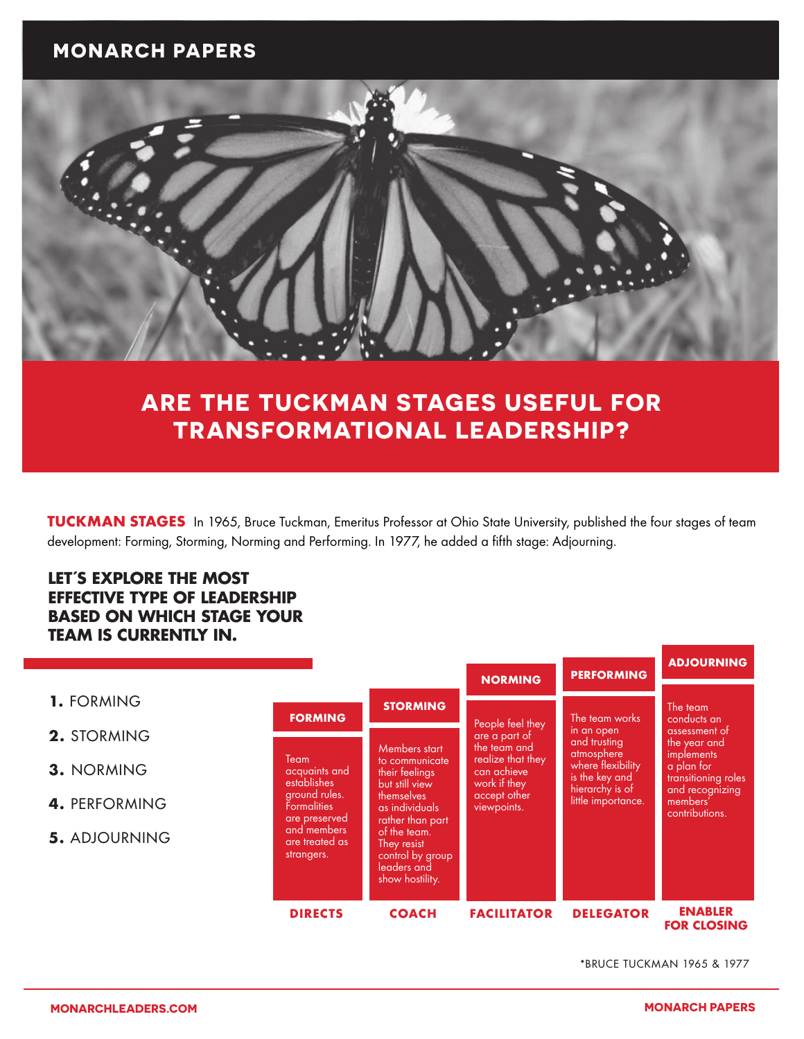### **MONARCH PAPERS**



# **ARE THE TUCKMAN STAGES USEFUL FOR TRANSFORMATIONAL LEADERSHIP?**

TUCKMAN STAGES In 1965, Bruce Tuckman, Emeritus Professor at Ohio State University, published the four stages of team development: Forming, Storming, Norming and Performing. In 1977, he added a fifth stage: Adjourning.

### **LET´S EXPLORE THE MOST EFFECTIVE TYPE OF LEADERSHIP BASED ON WHICH STAGE YOUR TEAM IS CURRENTLY IN.**

|                      |                                                                                                                                                                      |                                                                                                                                                                                                              | <b>NORMING</b>                                                                                                                       | <b>PERFORMING</b>                                                                                                                          | <b>ADJOURNING</b>                                                                                                                                                   |
|----------------------|----------------------------------------------------------------------------------------------------------------------------------------------------------------------|--------------------------------------------------------------------------------------------------------------------------------------------------------------------------------------------------------------|--------------------------------------------------------------------------------------------------------------------------------------|--------------------------------------------------------------------------------------------------------------------------------------------|---------------------------------------------------------------------------------------------------------------------------------------------------------------------|
| 1. FORMING           | <b>FORMING</b><br>Team<br>acquaints and<br><b>establishes</b><br>ground rules.<br><b>Formalities</b><br>are preserved<br>and members<br>are treated as<br>strangers. | <b>STORMING</b>                                                                                                                                                                                              | People feel they<br>are a part of<br>the team and<br>realize that they<br>can achieve<br>work if they<br>accept other<br>viewpoints. | The team works<br>in an open<br>and trusting<br>atmosphere<br>where flexibility<br>is the key and<br>hierarchy is of<br>little importance. | The team<br>conducts an<br>assessment of<br>the year and<br><i>implements</i><br>a plan for<br>transitioning roles<br>and recognizing<br>members'<br>contributions. |
| 2. STORMING          |                                                                                                                                                                      | Members start<br>to communicate<br>their feelings<br>but still view<br>themselves<br>as individuals<br>rather than part<br>of the team.<br>They resist<br>control by group<br>leaders and<br>show hostility. |                                                                                                                                      |                                                                                                                                            |                                                                                                                                                                     |
| 3. NORMING           |                                                                                                                                                                      |                                                                                                                                                                                                              |                                                                                                                                      |                                                                                                                                            |                                                                                                                                                                     |
| 4. PERFORMING        |                                                                                                                                                                      |                                                                                                                                                                                                              |                                                                                                                                      |                                                                                                                                            |                                                                                                                                                                     |
| <b>5. ADJOURNING</b> |                                                                                                                                                                      |                                                                                                                                                                                                              |                                                                                                                                      |                                                                                                                                            |                                                                                                                                                                     |
|                      | <b>DIRECTS</b>                                                                                                                                                       | <b>COACH</b>                                                                                                                                                                                                 | <b>FACILITATOR</b>                                                                                                                   | <b>DELEGATOR</b>                                                                                                                           | <b>ENABLER</b><br><b>FOR CLOSING</b>                                                                                                                                |

\*BRUCE TUCKMAN 1965 & 1977